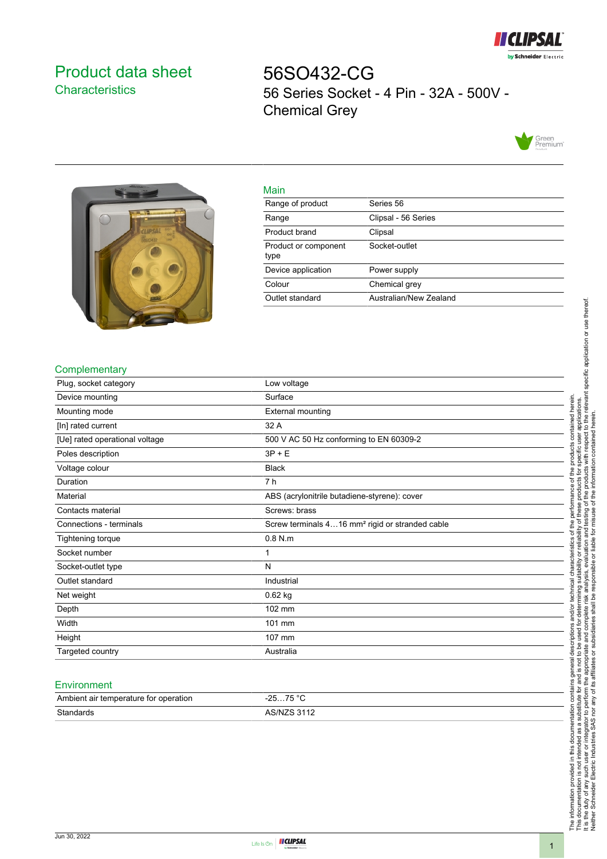

# <span id="page-0-0"></span>Product data sheet **Characteristics**

56SO432-CG 56 Series Socket - 4 Pin - 32A - 500V - Chemical Grey





| ٠  |  |
|----|--|
| __ |  |

| <b>Mall</b>                  |                        |
|------------------------------|------------------------|
| Range of product             | Series 56              |
| Range                        | Clipsal - 56 Series    |
| Product brand                | Clipsal                |
| Product or component<br>type | Socket-outlet          |
| Device application           | Power supply           |
| Colour                       | Chemical grey          |
| Outlet standard              | Australian/New Zealand |
|                              |                        |

## **Complementary**

| Plug, socket category          | Low voltage                                                 |
|--------------------------------|-------------------------------------------------------------|
| Device mounting                | Surface                                                     |
| Mounting mode                  | <b>External mounting</b>                                    |
| [In] rated current             | 32 A                                                        |
| [Ue] rated operational voltage | 500 V AC 50 Hz conforming to EN 60309-2                     |
| Poles description              | $3P + E$                                                    |
| Voltage colour                 | <b>Black</b>                                                |
| Duration                       | 7 h                                                         |
| Material                       | ABS (acrylonitrile butadiene-styrene): cover                |
| Contacts material              | Screws: brass                                               |
| Connections - terminals        | Screw terminals 416 mm <sup>2</sup> rigid or stranded cable |
| Tightening torque              | $0.8$ N.m                                                   |
| Socket number                  | 1                                                           |
| Socket-outlet type             | N                                                           |
| Outlet standard                | Industrial                                                  |
| Net weight                     | 0.62 kg                                                     |
| Depth                          | 102 mm                                                      |
| Width                          | 101 mm                                                      |
| Height                         | 107 mm                                                      |
| Targeted country               | Australia                                                   |

#### **Environment**

| Ambient air temperature for operation | 75 °C<br>nЕ |
|---------------------------------------|-------------|
| Standards                             | AS/NZS 3112 |